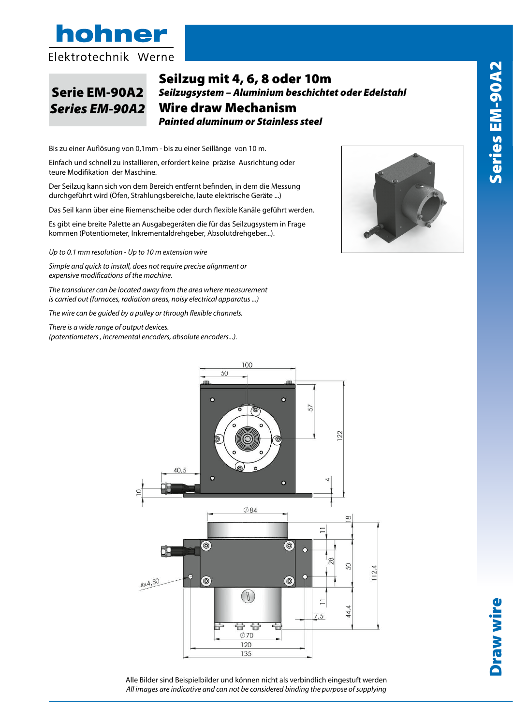

Serie EM-90A2

## Seilzug mit 4, 6, 8 oder 10m<br>Seilwausten Aluminium hesekisktete der *Seilzugsystem – Aluminium beschichtet oder Edelstahl* Junisystem – Alaminiam Justinence Juer Lucristam<br>Wire draw Mechanism *Painted aluminum or Stainless steel* filo *Wire Draw Mechanism* Serie EM-90A2 *Seil.*<br>S*eries EM-90A2* Wi

Risoluzione fino a 0.1 mm · Fino a 10 metri di estensione Bis zu einer Auflösung von 0,1mm - bis zu einer Seillänge von 10 m.

Einfach und schnell zu installieren, erfordert keine präzise Ausrichtung oder teure Modifikation der Maschine.

Der Seilzug kann sich von dem Bereich entfernt befinden, in dem die Messung durchgeführt wird (Öfen, Strahlungsbereiche, laute elektrische Geräte ...)

Das Seil kann über eine Riemenscheibe oder durch flexible Kanäle geführt werden.

en<br>Es gibt eine breite Palette an Ausgabegeräten die für das Seilzugsystem in Frage *Up to 0.1 mm resolution · Up to 10 m extension wire* kommen (Potentiometer, Inkrementaldrehgeber, Absolutdrehgeber...).

*Simple and quick to install., does not require precise alignment or Up to 0.1 mm resolution - Up to 10 m extension wire*

*expensive modifications of the machine. The transmuck to install, does not require precise alignment or*  $\frac{1}{2}$ *measurement is carried out (furnaces, radiation areas, noisy expensive modifications of the machine.*

*electrical apparatus ...) The transducer can be located away from the area where measurement The wire can be guided by a pulley or flexible channels is carried out (furnaces, radiation areas, noisy electrical apparatus ...)*

The wire can be guided by a pulley or through flexible channels.

*incre is a wide range of output devices. (potentiometers , incremental encoders, absolute encoders...).*





Alle Bilder sind Beispielbilder und können nicht als verbindlich eingestuft werden All images are indicative and can not be considered binding the purpose of supplying

*All images are indicative and can not be considered binding the purpose of supplying*